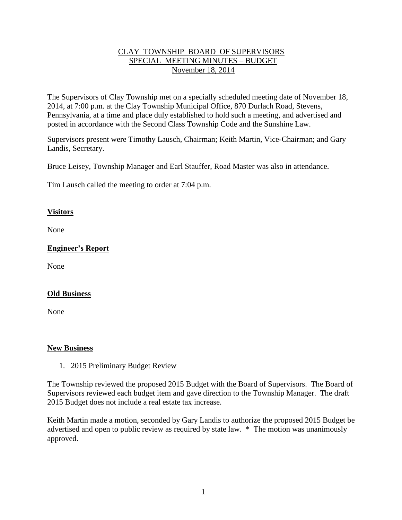## CLAY TOWNSHIP BOARD OF SUPERVISORS SPECIAL MEETING MINUTES – BUDGET November 18, 2014

The Supervisors of Clay Township met on a specially scheduled meeting date of November 18, 2014, at 7:00 p.m. at the Clay Township Municipal Office, 870 Durlach Road, Stevens, Pennsylvania, at a time and place duly established to hold such a meeting, and advertised and posted in accordance with the Second Class Township Code and the Sunshine Law.

Supervisors present were Timothy Lausch, Chairman; Keith Martin, Vice-Chairman; and Gary Landis, Secretary.

Bruce Leisey, Township Manager and Earl Stauffer, Road Master was also in attendance.

Tim Lausch called the meeting to order at 7:04 p.m.

## **Visitors**

None

# **Engineer's Report**

None

### **Old Business**

None

### **New Business**

1. 2015 Preliminary Budget Review

The Township reviewed the proposed 2015 Budget with the Board of Supervisors. The Board of Supervisors reviewed each budget item and gave direction to the Township Manager. The draft 2015 Budget does not include a real estate tax increase.

Keith Martin made a motion, seconded by Gary Landis to authorize the proposed 2015 Budget be advertised and open to public review as required by state law. \* The motion was unanimously approved.